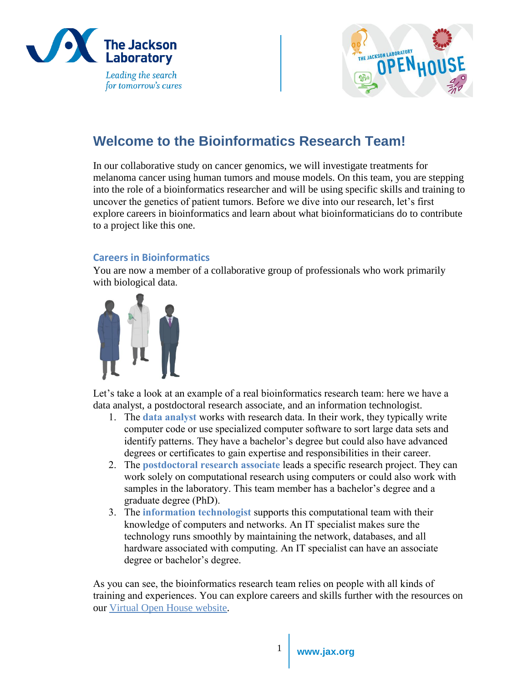



# **Welcome to the Bioinformatics Research Team!**

In our collaborative study on cancer genomics, we will investigate treatments for melanoma cancer using human tumors and mouse models. On this team, you are stepping into the role of a bioinformatics researcher and will be using specific skills and training to uncover the genetics of patient tumors. Before we dive into our research, let's first explore careers in bioinformatics and learn about what bioinformaticians do to contribute to a project like this one.

# **Careers in Bioinformatics**

You are now a member of a collaborative group of professionals who work primarily with biological data.



Let's take a look at an example of a real bioinformatics research team: here we have a data analyst, a postdoctoral research associate, and an information technologist.

- 1. The **data analyst** works with research data. In their work, they typically write computer code or use specialized computer software to sort large data sets and identify patterns. They have a bachelor's degree but could also have advanced degrees or certificates to gain expertise and responsibilities in their career.
- 2. The **postdoctoral research associate** leads a specific research project. They can work solely on computational research using computers or could also work with samples in the laboratory. This team member has a bachelor's degree and a graduate degree (PhD).
- 3. The **information technologist** supports this computational team with their knowledge of computers and networks. An IT specialist makes sure the technology runs smoothly by maintaining the network, databases, and all hardware associated with computing. An IT specialist can have an associate degree or bachelor's degree.

As you can see, the bioinformatics research team relies on people with all kinds of training and experiences. You can explore careers and skills further with the resources on our [Virtual Open House website.](https://www.jax.org/education-and-learning/high-school-students-and-undergraduates/virtual-open-house/career-exploration)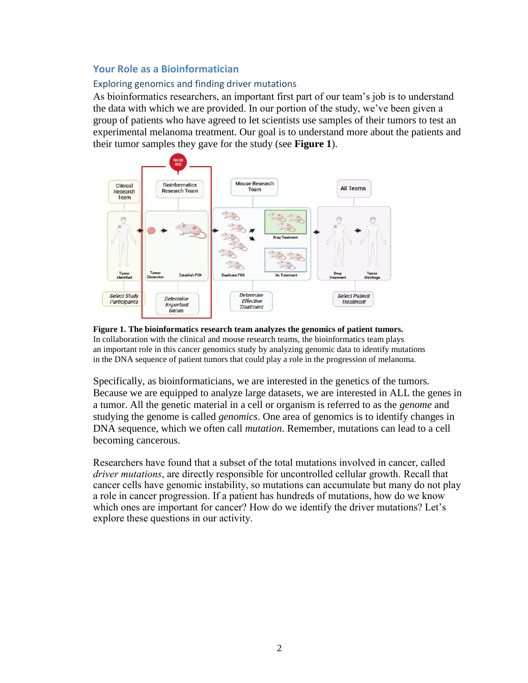# **Your Role as a Bioinformatician**

### Exploring genomics and finding driver mutations

As bioinformatics researchers, an important first part of our team's job is to understand the data with which we are provided. In our portion of the study, we've been given a group of patients who have agreed to let scientists use samples of their tumors to test an experimental melanoma treatment. Our goal is to understand more about the patients and their tumor samples they gave for the study (see **Figure 1**).



#### **Figure 1. The bioinformatics research team analyzes the genomics of patient tumors.**  In collaboration with the clinical and mouse research teams, the bioinformatics team plays an important role in this cancer genomics study by analyzing genomic data to identify mutations in the DNA sequence of patient tumors that could play a role in the progression of melanoma.

Specifically, as bioinformaticians, we are interested in the genetics of the tumors. Because we are equipped to analyze large datasets, we are interested in ALL the genes in a tumor. All the genetic material in a cell or organism is referred to as the *genome* and studying the genome is called *genomics*. One area of genomics is to identify changes in DNA sequence, which we often call *mutation*. Remember, mutations can lead to a cell becoming cancerous.

Researchers have found that a subset of the total mutations involved in cancer, called *driver mutations*, are directly responsible for uncontrolled cellular growth. Recall that cancer cells have genomic instability, so mutations can accumulate but many do not play a role in cancer progression. If a patient has hundreds of mutations, how do we know which ones are important for cancer? How do we identify the driver mutations? Let's explore these questions in our activity.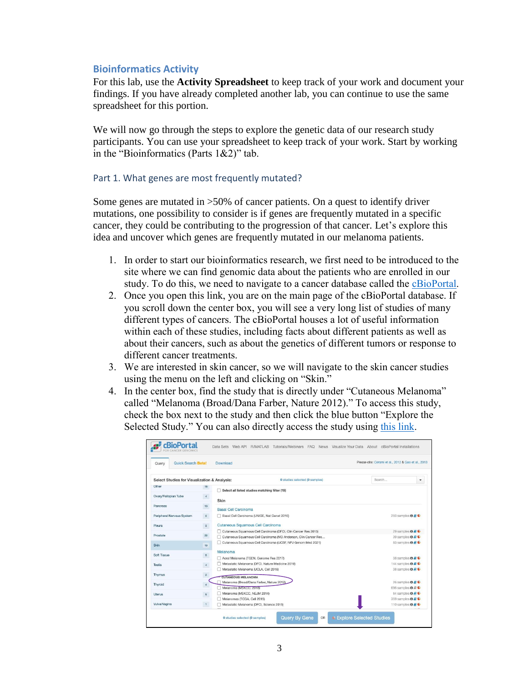# **Bioinformatics Activity**

For this lab, use the **Activity Spreadsheet** to keep track of your work and document your findings. If you have already completed another lab, you can continue to use the same spreadsheet for this portion.

We will now go through the steps to explore the genetic data of our research study participants. You can use your spreadsheet to keep track of your work. Start by working in the "Bioinformatics (Parts 1&2)" tab.

#### Part 1. What genes are most frequently mutated?

Some genes are mutated in >50% of cancer patients. On a quest to identify driver mutations, one possibility to consider is if genes are frequently mutated in a specific cancer, they could be contributing to the progression of that cancer. Let's explore this idea and uncover which genes are frequently mutated in our melanoma patients.

- 1. In order to start our bioinformatics research, we first need to be introduced to the site where we can find genomic data about the patients who are enrolled in our study. To do this, we need to navigate to a cancer database called the [cBioPortal.](https://www.cbioportal.org/)
- 2. Once you open this link, you are on the main page of the cBioPortal database. If you scroll down the center box, you will see a very long list of studies of many different types of cancers. The cBioPortal houses a lot of useful information within each of these studies, including facts about different patients as well as about their cancers, such as about the genetics of different tumors or response to different cancer treatments.
- 3. We are interested in skin cancer, so we will navigate to the skin cancer studies using the menu on the left and clicking on "Skin."
- 4. In the center box, find the study that is directly under "Cutaneous Melanoma" called "Melanoma (Broad/Dana Farber, Nature 2012)." To access this study, check the box next to the study and then click the blue button "Explore the Selected Study." You can also directly access the study using [this link.](https://www.cbioportal.org/study/summary?id=skcm_broad_dfarber)

| <b>Ouick Search Betal</b><br>Query           |                 | <b>Download</b>                                                                                                                 | Please cite: Cerami et al., 2012 & Gao et al., 2013              |
|----------------------------------------------|-----------------|---------------------------------------------------------------------------------------------------------------------------------|------------------------------------------------------------------|
| Select Studies for Visualization & Analysis: |                 | 0 studies selected (0 samples)                                                                                                  | Search<br>٠                                                      |
| Other                                        | 18              | Select all listed studies matching filter (19)                                                                                  |                                                                  |
| Ovary/Fallopian Tube                         | $\sqrt{4}$      | Skin                                                                                                                            |                                                                  |
| <b>Pancreas</b>                              | 10 <sub>1</sub> | <b>Basal Cell Carcinoma</b>                                                                                                     |                                                                  |
| Peripheral Nervous System                    | 5               | Basal Cell Carcinoma (UNIGE, Nat Genet 2016)                                                                                    | 293 samples $\mathbf{\Theta} \triangleq \mathbf{\mathbb{C}}$     |
| Pleura                                       | 3               | <b>Cutaneous Squamous Cell Carcinoma</b>                                                                                        |                                                                  |
| Prostate                                     | 22              | Cutaneous Squamous Cell Carcinoma (DFCI, Clin Cancer Res 2015)                                                                  | 29 samples $\theta \in \mathbb{C}$                               |
| Skin                                         | 19              | Cutaneous Squamous Cell Carcinoma (MD Anderson, Clin Cancer Res<br>Cutaneous Squamous Cell Carcinoma (UCSF, NPJ Genom Med 2021) | 39 samples <b>O</b><br>83 samples <b>0 A C</b>                   |
|                                              |                 | Melanoma                                                                                                                        |                                                                  |
| Soft Tissue                                  | $\mathsf{9}$    | Acral Melanoma (TGEN, Genome Res 2017)                                                                                          | 38 samples <b>OBC</b>                                            |
| <b>Testis</b>                                | $\overline{4}$  | Metastatic Melanoma (DFCI, Nature Medicine 2019)                                                                                | 144 samples $\theta \in \mathbb{C}$                              |
| Thymus                                       | $\mathbf{3}$    | Metastatic Melanoma (UCLA, Cell 2016)                                                                                           | 38 samples <b>O</b> A C                                          |
|                                              |                 | <b>CUTANEOUS MELANOMA</b>                                                                                                       |                                                                  |
| Thyroid                                      | $\overline{A}$  | Melanoma (Broad/Dana Farber, Nature 2012)                                                                                       | 26 samples $\theta \neq \theta$                                  |
|                                              |                 | Melanoma (MSKCC, 2018)                                                                                                          | 696 samples <b>O</b> B                                           |
| <b>Uterus</b>                                | $\overline{9}$  | Melanoma (MSKCC, NEJM 2014)                                                                                                     | 64 samples $\mathbf{0} \in \mathbb{C}$<br>359 samples <b>O B</b> |
| Vulva/Vagina                                 | 1               | Melanomas (TCGA, Cell 2015)<br>Metastatic Melanoma (DFCI, Science 2015)                                                         | 110 samples <b>O</b> A C                                         |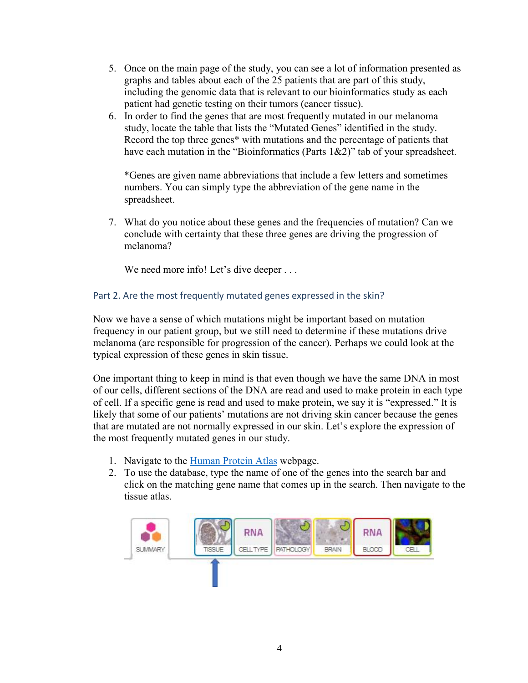- 5. Once on the main page of the study, you can see a lot of information presented as graphs and tables about each of the 25 patients that are part of this study, including the genomic data that is relevant to our bioinformatics study as each patient had genetic testing on their tumors (cancer tissue).
- 6. In order to find the genes that are most frequently mutated in our melanoma study, locate the table that lists the "Mutated Genes" identified in the study. Record the top three genes\* with mutations and the percentage of patients that have each mutation in the "Bioinformatics (Parts 1&2)" tab of your spreadsheet.

\*Genes are given name abbreviations that include a few letters and sometimes numbers. You can simply type the abbreviation of the gene name in the spreadsheet.

7. What do you notice about these genes and the frequencies of mutation? Can we conclude with certainty that these three genes are driving the progression of melanoma?

We need more info! Let's dive deeper . . .

# Part 2. Are the most frequently mutated genes expressed in the skin?

Now we have a sense of which mutations might be important based on mutation frequency in our patient group, but we still need to determine if these mutations drive melanoma (are responsible for progression of the cancer). Perhaps we could look at the typical expression of these genes in skin tissue.

One important thing to keep in mind is that even though we have the same DNA in most of our cells, different sections of the DNA are read and used to make protein in each type of cell. If a specific gene is read and used to make protein, we say it is "expressed." It is likely that some of our patients' mutations are not driving skin cancer because the genes that are mutated are not normally expressed in our skin. Let's explore the expression of the most frequently mutated genes in our study.

- 1. Navigate to the [Human Protein Atlas](https://www.proteinatlas.org/) webpage.
- 2. To use the database, type the name of one of the genes into the search bar and click on the matching gene name that comes up in the search. Then navigate to the tissue atlas.

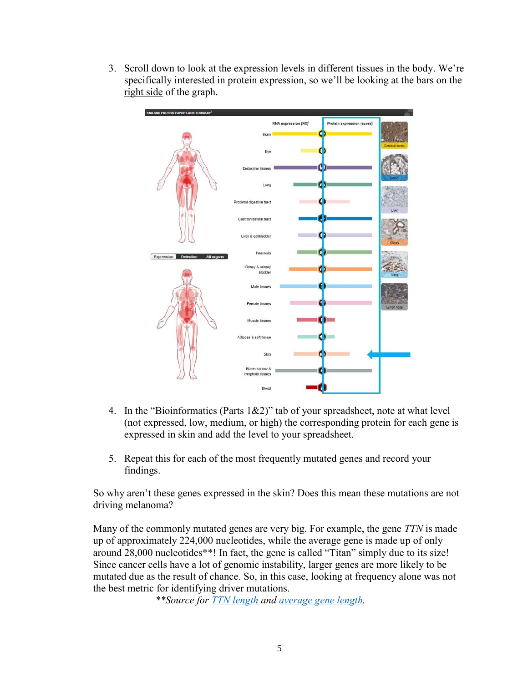3. Scroll down to look at the expression levels in different tissues in the body. We're specifically interested in protein expression, so we'll be looking at the bars on the right side of the graph.



- 4. In the "Bioinformatics (Parts 1&2)" tab of your spreadsheet, note at what level (not expressed, low, medium, or high) the corresponding protein for each gene is expressed in skin and add the level to your spreadsheet.
- 5. Repeat this for each of the most frequently mutated genes and record your findings.

So why aren't these genes expressed in the skin? Does this mean these mutations are not driving melanoma?

Many of the commonly mutated genes are very big. For example, the gene *TTN* is made up of approximately 224,000 nucleotides, while the average gene is made up of only around 28,000 nucleotides\*\*! In fact, the gene is called "Titan" simply due to its size! Since cancer cells have a lot of genomic instability, larger genes are more likely to be mutated due as the result of chance. So, in this case, looking at frequency alone was not the best metric for identifying driver mutations.

*\*\*Source for [TTN length](https://www.ahajournals.org/doi/10.1161/hh2301.100981) and [average gene length.](https://pubmed.ncbi.nlm.nih.gov/11181995/)*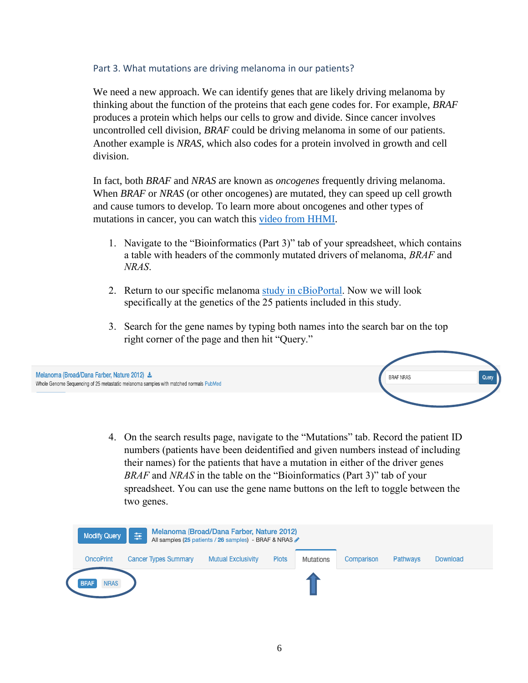# Part 3. What mutations are driving melanoma in our patients?

We need a new approach. We can identify genes that are likely driving melanoma by thinking about the function of the proteins that each gene codes for. For example, *BRAF*  produces a protein which helps our cells to grow and divide. Since cancer involves uncontrolled cell division, *BRAF* could be driving melanoma in some of our patients. Another example is *NRAS*, which also codes for a protein involved in growth and cell division.

In fact, both *BRAF* and *NRAS* are known as *oncogenes* frequently driving melanoma. When *BRAF* or *NRAS* (or other oncogenes) are mutated, they can speed up cell growth and cause tumors to develop. To learn more about oncogenes and other types of mutations in cancer, you can watch this [video from HHMI.](https://www.biointeractive.org/classroom-resources/mutations-cancer)

- 1. Navigate to the "Bioinformatics (Part 3)" tab of your spreadsheet, which contains a table with headers of the commonly mutated drivers of melanoma, *BRAF* and *NRAS*.
- 2. Return to our specific melanoma [study in cBioPortal.](https://www.cbioportal.org/study/summary?id=skcm_broad_dfarber) Now we will look specifically at the genetics of the 25 patients included in this study.
- 3. Search for the gene names by typing both names into the search bar on the top right corner of the page and then hit "Query."



4. On the search results page, navigate to the "Mutations" tab. Record the patient ID numbers (patients have been deidentified and given numbers instead of including their names) for the patients that have a mutation in either of the driver genes *BRAF* and *NRAS* in the table on the "Bioinformatics (Part 3)" tab of your spreadsheet. You can use the gene name buttons on the left to toggle between the two genes.

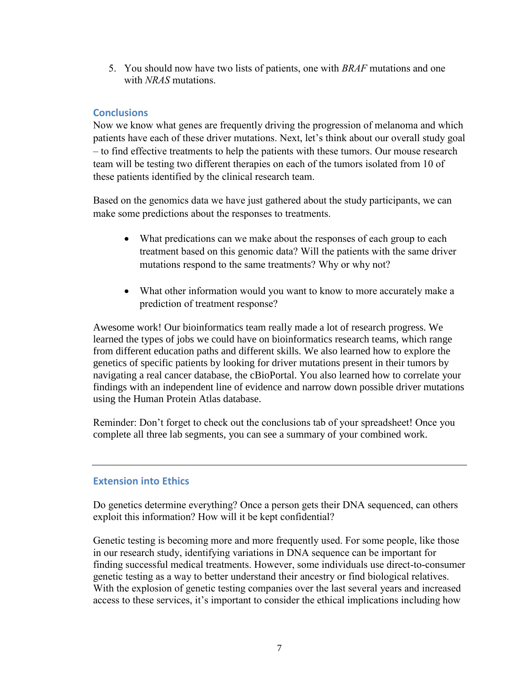5. You should now have two lists of patients, one with *BRAF* mutations and one with *NRAS* mutations.

# **Conclusions**

Now we know what genes are frequently driving the progression of melanoma and which patients have each of these driver mutations. Next, let's think about our overall study goal – to find effective treatments to help the patients with these tumors. Our mouse research team will be testing two different therapies on each of the tumors isolated from 10 of these patients identified by the clinical research team.

Based on the genomics data we have just gathered about the study participants, we can make some predictions about the responses to treatments.

- What predications can we make about the responses of each group to each treatment based on this genomic data? Will the patients with the same driver mutations respond to the same treatments? Why or why not?
- What other information would you want to know to more accurately make a prediction of treatment response?

Awesome work! Our bioinformatics team really made a lot of research progress. We learned the types of jobs we could have on bioinformatics research teams, which range from different education paths and different skills. We also learned how to explore the genetics of specific patients by looking for driver mutations present in their tumors by navigating a real cancer database, the cBioPortal. You also learned how to correlate your findings with an independent line of evidence and narrow down possible driver mutations using the Human Protein Atlas database.

Reminder: Don't forget to check out the conclusions tab of your spreadsheet! Once you complete all three lab segments, you can see a summary of your combined work.

# **Extension into Ethics**

Do genetics determine everything? Once a person gets their DNA sequenced, can others exploit this information? How will it be kept confidential?

Genetic testing is becoming more and more frequently used. For some people, like those in our research study, identifying variations in DNA sequence can be important for finding successful medical treatments. However, some individuals use direct-to-consumer genetic testing as a way to better understand their ancestry or find biological relatives. With the explosion of genetic testing companies over the last several years and increased access to these services, it's important to consider the ethical implications including how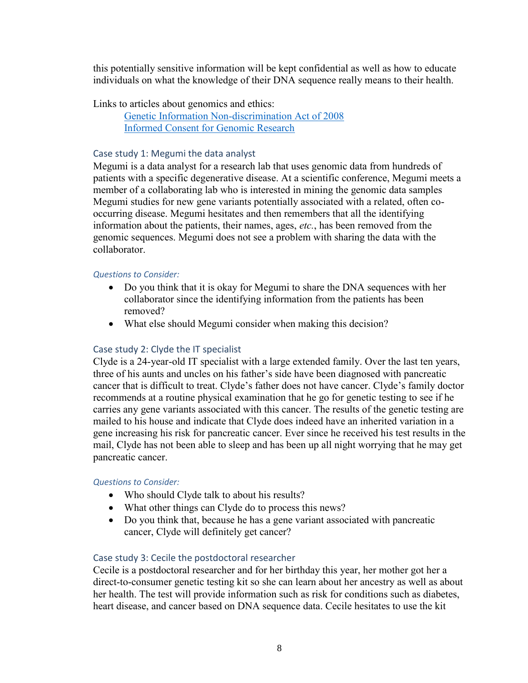this potentially sensitive information will be kept confidential as well as how to educate individuals on what the knowledge of their DNA sequence really means to their health.

Links to articles about genomics and ethics:

[Genetic Information Non-discrimination Act of 2008](https://www.genome.gov/about-genomics/policy-issues/Genetic-Discrimination) [Informed Consent for Genomic Research](https://www.genome.gov/about-genomics/policy-issues/Informed-Consent)

#### Case study 1: Megumi the data analyst

Megumi is a data analyst for a research lab that uses genomic data from hundreds of patients with a specific degenerative disease. At a scientific conference, Megumi meets a member of a collaborating lab who is interested in mining the genomic data samples Megumi studies for new gene variants potentially associated with a related, often cooccurring disease. Megumi hesitates and then remembers that all the identifying information about the patients, their names, ages, *etc.*, has been removed from the genomic sequences. Megumi does not see a problem with sharing the data with the collaborator.

#### *Questions to Consider:*

- Do you think that it is okay for Megumi to share the DNA sequences with her collaborator since the identifying information from the patients has been removed?
- What else should Megumi consider when making this decision?

# Case study 2: Clyde the IT specialist

Clyde is a 24-year-old IT specialist with a large extended family. Over the last ten years, three of his aunts and uncles on his father's side have been diagnosed with pancreatic cancer that is difficult to treat. Clyde's father does not have cancer. Clyde's family doctor recommends at a routine physical examination that he go for genetic testing to see if he carries any gene variants associated with this cancer. The results of the genetic testing are mailed to his house and indicate that Clyde does indeed have an inherited variation in a gene increasing his risk for pancreatic cancer. Ever since he received his test results in the mail, Clyde has not been able to sleep and has been up all night worrying that he may get pancreatic cancer.

# *Questions to Consider:*

- Who should Clyde talk to about his results?
- What other things can Clyde do to process this news?
- Do you think that, because he has a gene variant associated with pancreatic cancer, Clyde will definitely get cancer?

# Case study 3: Cecile the postdoctoral researcher

Cecile is a postdoctoral researcher and for her birthday this year, her mother got her a direct-to-consumer genetic testing kit so she can learn about her ancestry as well as about her health. The test will provide information such as risk for conditions such as diabetes, heart disease, and cancer based on DNA sequence data. Cecile hesitates to use the kit